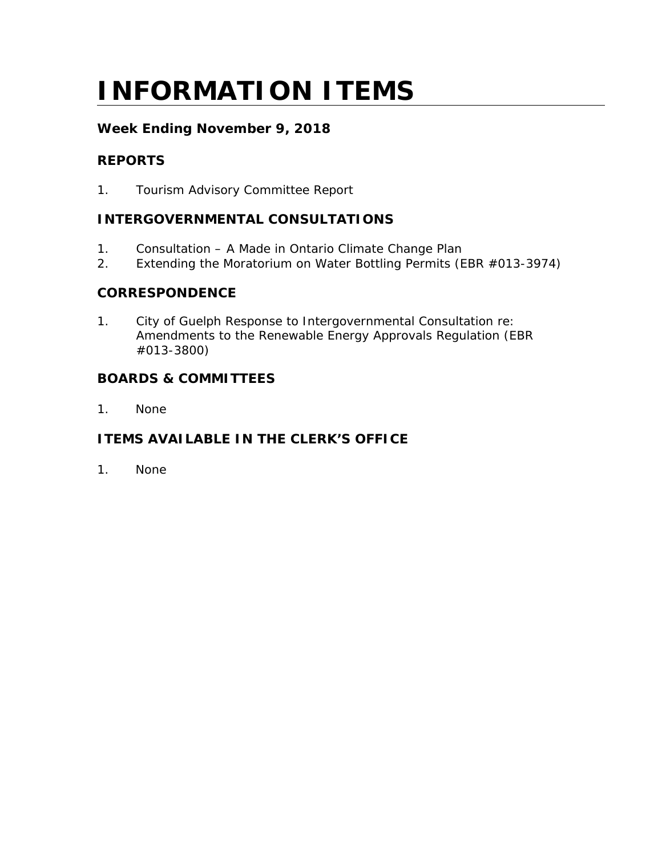# **INFORMATION ITEMS**

# **Week Ending November 9, 2018**

# **REPORTS**

1. Tourism Advisory Committee Report

# **INTERGOVERNMENTAL CONSULTATIONS**

- 1. Consultation A Made in Ontario Climate Change Plan
- 2. Extending the Moratorium on Water Bottling Permits (EBR #013-3974)

#### **CORRESPONDENCE**

1. City of Guelph Response to Intergovernmental Consultation re: Amendments to the Renewable Energy Approvals Regulation (EBR #013-3800)

### **BOARDS & COMMITTEES**

1. None

# **ITEMS AVAILABLE IN THE CLERK'S OFFICE**

1. None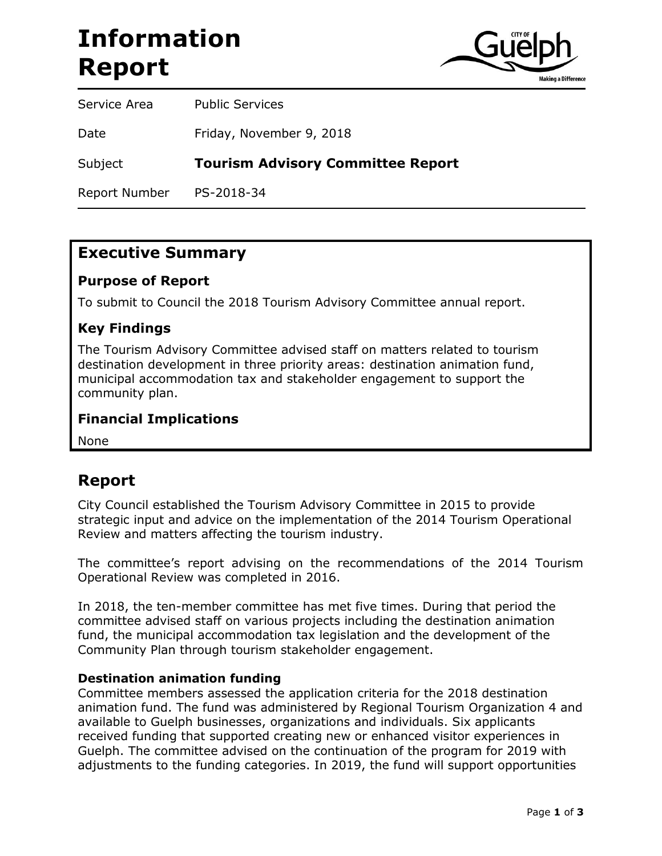# **Information Report**



Service Area Public Services Date Friday, November 9, 2018 Subject **Tourism Advisory Committee Report** Report Number PS-2018-34

# **Executive Summary**

### **Purpose of Report**

To submit to Council the 2018 Tourism Advisory Committee annual report.

### **Key Findings**

The Tourism Advisory Committee advised staff on matters related to tourism destination development in three priority areas: destination animation fund, municipal accommodation tax and stakeholder engagement to support the community plan.

#### **Financial Implications**

None

# **Report**

City Council established the Tourism Advisory Committee in 2015 to provide strategic input and advice on the implementation of the 2014 Tourism Operational Review and matters affecting the tourism industry.

The committee's report advising on the recommendations of the 2014 Tourism Operational Review was completed in 2016.

In 2018, the ten-member committee has met five times. During that period the committee advised staff on various projects including the destination animation fund, the municipal accommodation tax legislation and the development of the Community Plan through tourism stakeholder engagement.

#### **Destination animation funding**

Committee members assessed the application criteria for the 2018 destination animation fund. The fund was administered by Regional Tourism Organization 4 and available to Guelph businesses, organizations and individuals. Six applicants received funding that supported creating new or enhanced visitor experiences in Guelph. The committee advised on the continuation of the program for 2019 with adjustments to the funding categories. In 2019, the fund will support opportunities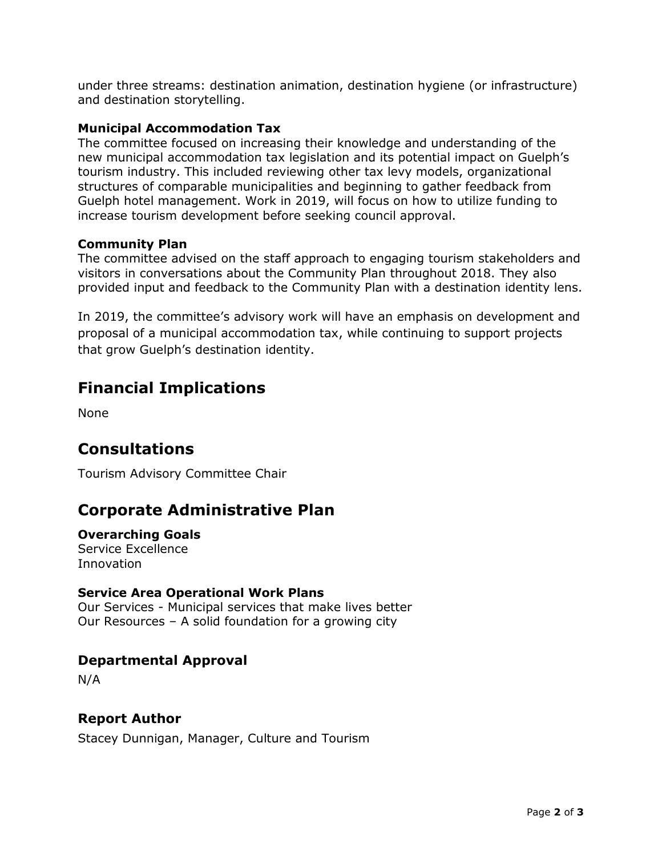under three streams: destination animation, destination hygiene (or infrastructure) and destination storytelling.

#### **Municipal Accommodation Tax**

The committee focused on increasing their knowledge and understanding of the new municipal accommodation tax legislation and its potential impact on Guelph's tourism industry. This included reviewing other tax levy models, organizational structures of comparable municipalities and beginning to gather feedback from Guelph hotel management. Work in 2019, will focus on how to utilize funding to increase tourism development before seeking council approval.

#### **Community Plan**

The committee advised on the staff approach to engaging tourism stakeholders and visitors in conversations about the Community Plan throughout 2018. They also provided input and feedback to the Community Plan with a destination identity lens.

In 2019, the committee's advisory work will have an emphasis on development and proposal of a municipal accommodation tax, while continuing to support projects that grow Guelph's destination identity.

# **Financial Implications**

None

# **Consultations**

Tourism Advisory Committee Chair

# **Corporate Administrative Plan**

### **Overarching Goals**

Service Excellence Innovation

#### **Service Area Operational Work Plans**

Our Services - Municipal services that make lives better Our Resources – A solid foundation for a growing city

### **Departmental Approval**

N/A

#### **Report Author**

Stacey Dunnigan, Manager, Culture and Tourism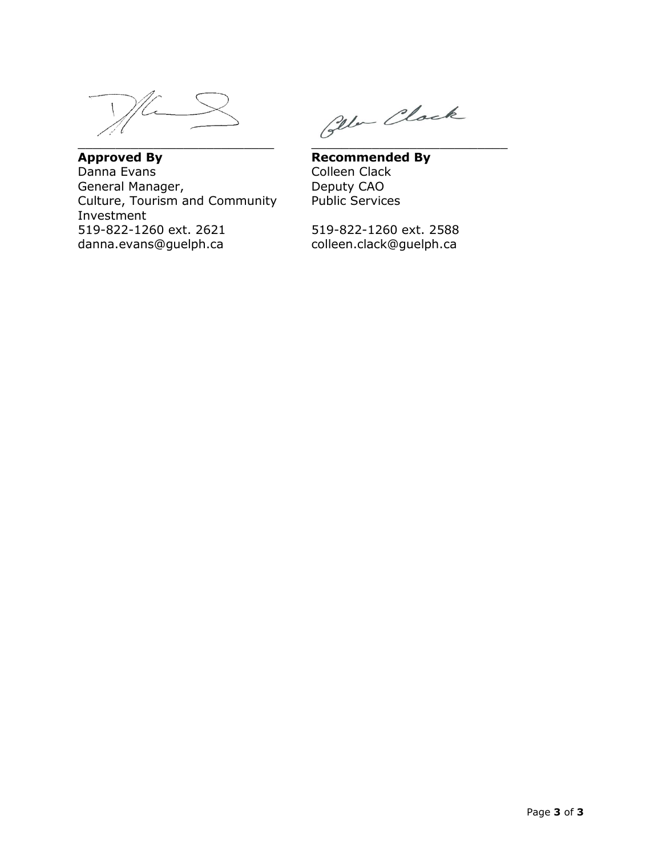General Manager, Deputy CAO Culture, Tourism and Community Public Services Investment 519-822-1260 ext. 2621 519-822-1260 ext. 2588 danna.evans@guelph.ca colleen.clack@guelph.ca

\_\_\_\_\_\_\_\_\_\_\_\_\_\_\_\_\_\_\_\_\_\_\_\_\_\_ \_\_\_\_\_\_\_\_\_\_\_\_\_\_\_\_\_\_\_\_\_\_\_\_\_\_

**Approved By**<br> **Recommended By**<br> **Recommended By**<br> **Colleen Clack** Colleen Clack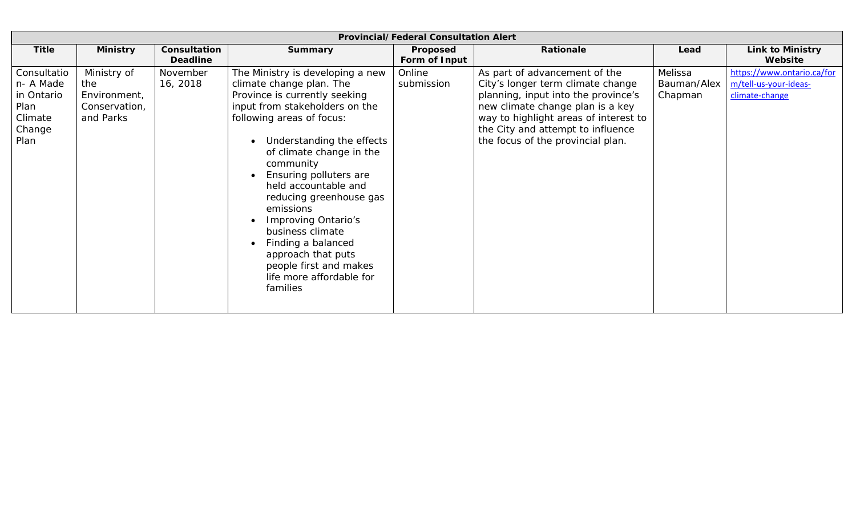| <b>Provincial/Federal Consultation Alert</b>                                |                                                                  |                                 |                                                                                                                                                                                                                                                                                                                                                                                                                                                                                       |                           |                                                                                                                                                                                                                                                                  |                                   |                                                                       |  |  |  |  |  |
|-----------------------------------------------------------------------------|------------------------------------------------------------------|---------------------------------|---------------------------------------------------------------------------------------------------------------------------------------------------------------------------------------------------------------------------------------------------------------------------------------------------------------------------------------------------------------------------------------------------------------------------------------------------------------------------------------|---------------------------|------------------------------------------------------------------------------------------------------------------------------------------------------------------------------------------------------------------------------------------------------------------|-----------------------------------|-----------------------------------------------------------------------|--|--|--|--|--|
| <b>Title</b>                                                                | <b>Ministry</b>                                                  | Consultation<br><b>Deadline</b> | <b>Summary</b>                                                                                                                                                                                                                                                                                                                                                                                                                                                                        | Proposed<br>Form of Input | Rationale                                                                                                                                                                                                                                                        | Lead                              | <b>Link to Ministry</b><br>Website                                    |  |  |  |  |  |
| Consultatio<br>n- A Made<br>in Ontario<br>Plan<br>Climate<br>Change<br>Plan | Ministry of<br>the<br>Environment,<br>Conservation,<br>and Parks | November<br>16, 2018            | The Ministry is developing a new<br>climate change plan. The<br>Province is currently seeking<br>input from stakeholders on the<br>following areas of focus:<br>Understanding the effects<br>of climate change in the<br>community<br>Ensuring polluters are<br>held accountable and<br>reducing greenhouse gas<br>emissions<br>Improving Ontario's<br>business climate<br>Finding a balanced<br>approach that puts<br>people first and makes<br>life more affordable for<br>families | Online<br>submission      | As part of advancement of the<br>City's longer term climate change<br>planning, input into the province's<br>new climate change plan is a key<br>way to highlight areas of interest to<br>the City and attempt to influence<br>the focus of the provincial plan. | Melissa<br>Bauman/Alex<br>Chapman | https://www.ontario.ca/for<br>m/tell-us-your-ideas-<br>climate-change |  |  |  |  |  |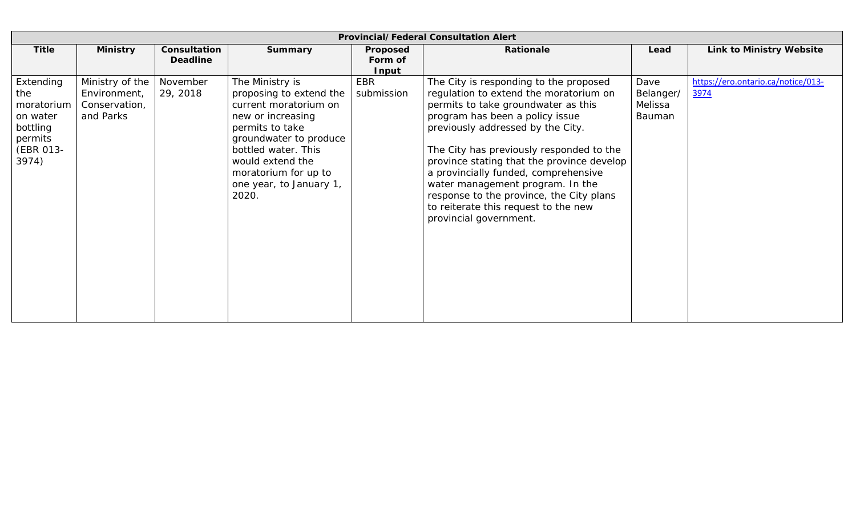| <b>Provincial/Federal Consultation Alert</b>                                            |                                                               |                                 |                                                                                                                                                                                                                                              |                              |                                                                                                                                                                                                                                                                                                                                                                                                                                                                                     |                                        |                                            |  |  |  |  |  |
|-----------------------------------------------------------------------------------------|---------------------------------------------------------------|---------------------------------|----------------------------------------------------------------------------------------------------------------------------------------------------------------------------------------------------------------------------------------------|------------------------------|-------------------------------------------------------------------------------------------------------------------------------------------------------------------------------------------------------------------------------------------------------------------------------------------------------------------------------------------------------------------------------------------------------------------------------------------------------------------------------------|----------------------------------------|--------------------------------------------|--|--|--|--|--|
| <b>Title</b>                                                                            | <b>Ministry</b>                                               | Consultation<br><b>Deadline</b> | <b>Summary</b>                                                                                                                                                                                                                               | Proposed<br>Form of<br>Input | Rationale                                                                                                                                                                                                                                                                                                                                                                                                                                                                           | Lead                                   | <b>Link to Ministry Website</b>            |  |  |  |  |  |
| Extending<br>the<br>moratorium<br>on water<br>bottling<br>permits<br>(EBR 013-<br>3974) | Ministry of the<br>Environment,<br>Conservation,<br>and Parks | November<br>29, 2018            | The Ministry is<br>proposing to extend the<br>current moratorium on<br>new or increasing<br>permits to take<br>groundwater to produce<br>bottled water. This<br>would extend the<br>moratorium for up to<br>one year, to January 1,<br>2020. | EBR<br>submission            | The City is responding to the proposed<br>regulation to extend the moratorium on<br>permits to take groundwater as this<br>program has been a policy issue<br>previously addressed by the City.<br>The City has previously responded to the<br>province stating that the province develop<br>a provincially funded, comprehensive<br>water management program. In the<br>response to the province, the City plans<br>to reiterate this request to the new<br>provincial government. | Dave<br>Belanger/<br>Melissa<br>Bauman | https://ero.ontario.ca/notice/013-<br>3974 |  |  |  |  |  |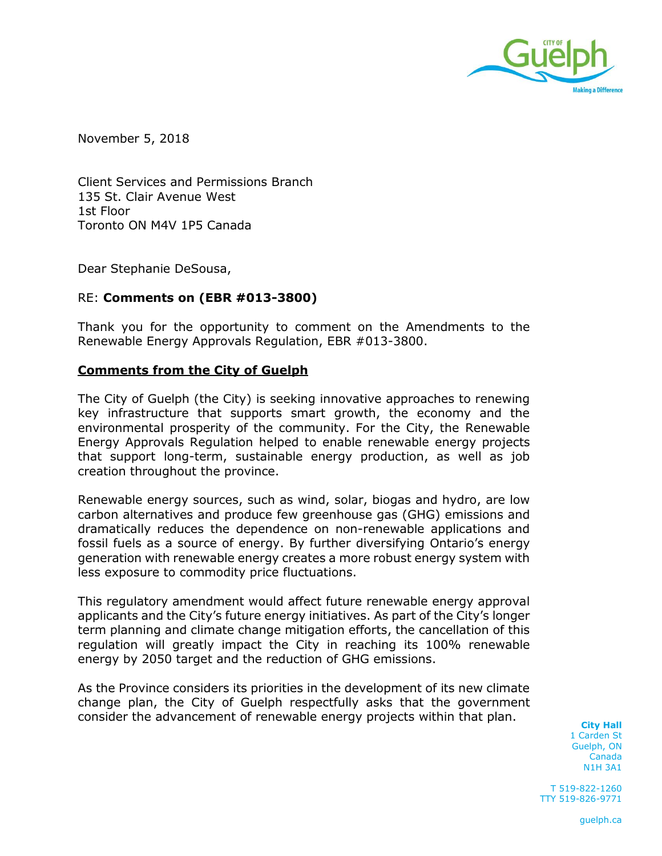

November 5, 2018

Client Services and Permissions Branch 135 St. Clair Avenue West 1st Floor Toronto ON M4V 1P5 Canada

Dear Stephanie DeSousa,

#### RE: **Comments on (EBR #013-3800)**

Thank you for the opportunity to comment on the Amendments to the Renewable Energy Approvals Regulation, EBR #013-3800.

#### **Comments from the City of Guelph**

The City of Guelph (the City) is seeking innovative approaches to renewing key infrastructure that supports smart growth, the economy and the environmental prosperity of the community. For the City, the Renewable Energy Approvals Regulation helped to enable renewable energy projects that support long-term, sustainable energy production, as well as job creation throughout the province.

Renewable energy sources, such as wind, solar, biogas and hydro, are low carbon alternatives and produce few greenhouse gas (GHG) emissions and dramatically reduces the dependence on non-renewable applications and fossil fuels as a source of energy. By further diversifying Ontario's energy generation with renewable energy creates a more robust energy system with less exposure to commodity price fluctuations.

This regulatory amendment would affect future renewable energy approval applicants and the City's future energy initiatives. As part of the City's longer term planning and climate change mitigation efforts, the cancellation of this regulation will greatly impact the City in reaching its 100% renewable energy by 2050 target and the reduction of GHG emissions.

As the Province considers its priorities in the development of its new climate change plan, the City of Guelph respectfully asks that the government consider the advancement of renewable energy projects within that plan.

**City Hall** 1 Carden St Guelph, ON Canada N1H 3A1

T 519-822-1260 TTY 519-826-9771